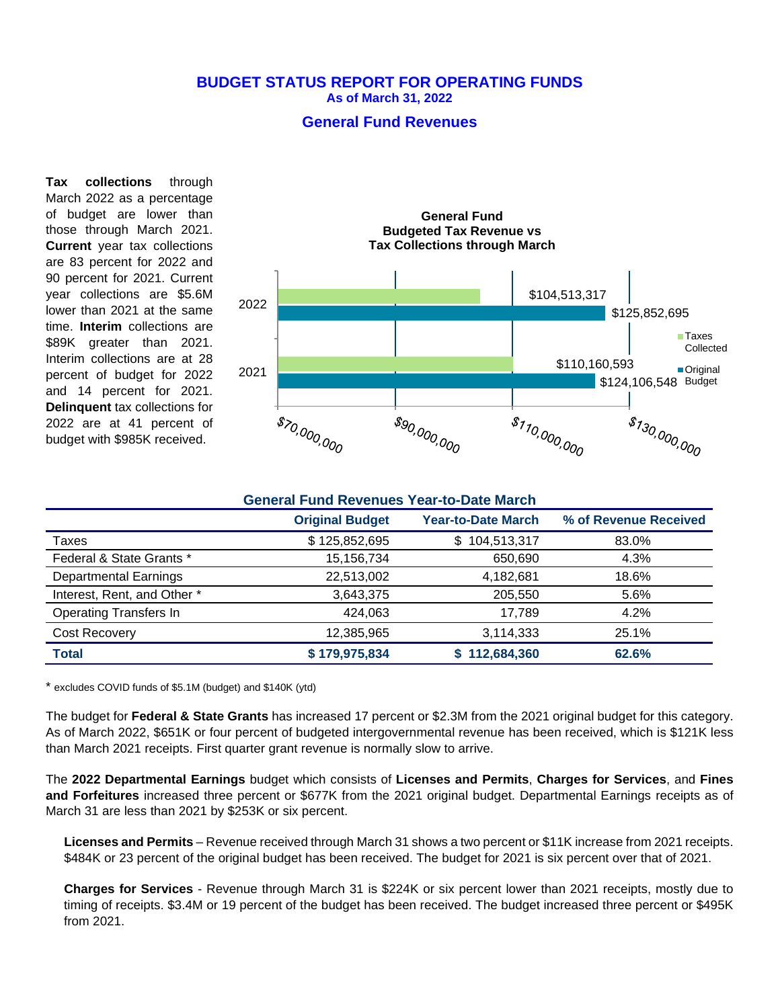## **BUDGET STATUS REPORT FOR OPERATING FUNDS As of March 31, 2022**

## **General Fund Revenues**

**Tax collections** through March 2022 as a percentage of budget are lower than those through March 2021. **Current** year tax collections are 83 percent for 2022 and 90 percent for 2021. Current year collections are \$5.6M lower than 2021 at the same time. **Interim** collections are \$89K greater than 2021. Interim collections are at 28 percent of budget for 2022 and 14 percent for 2021. **Delinquent** tax collections for 2022 are at 41 percent of budget with \$985K received.



#### **General Fund Revenues Year-to-Date March**

|                               | <b>Original Budget</b> | <b>Year-to-Date March</b> | % of Revenue Received |
|-------------------------------|------------------------|---------------------------|-----------------------|
| Taxes                         | \$125,852,695          | \$104,513,317             | 83.0%                 |
| Federal & State Grants *      | 15,156,734             | 650,690                   | 4.3%                  |
| <b>Departmental Earnings</b>  | 22,513,002             | 4,182,681                 | 18.6%                 |
| Interest, Rent, and Other *   | 3,643,375              | 205,550                   | 5.6%                  |
| <b>Operating Transfers In</b> | 424.063                | 17,789                    | 4.2%                  |
| Cost Recovery                 | 12,385,965             | 3,114,333                 | 25.1%                 |
| <b>Total</b>                  | \$179,975,834          | 112,684,360               | 62.6%                 |

\* excludes COVID funds of \$5.1M (budget) and \$140K (ytd)

The budget for **Federal & State Grants** has increased 17 percent or \$2.3M from the 2021 original budget for this category. As of March 2022, \$651K or four percent of budgeted intergovernmental revenue has been received, which is \$121K less than March 2021 receipts. First quarter grant revenue is normally slow to arrive.

The **2022 Departmental Earnings** budget which consists of **Licenses and Permits**, **Charges for Services**, and **Fines and Forfeitures** increased three percent or \$677K from the 2021 original budget. Departmental Earnings receipts as of March 31 are less than 2021 by \$253K or six percent.

**Licenses and Permits** – Revenue received through March 31 shows a two percent or \$11K increase from 2021 receipts. \$484K or 23 percent of the original budget has been received. The budget for 2021 is six percent over that of 2021.

**Charges for Services** - Revenue through March 31 is \$224K or six percent lower than 2021 receipts, mostly due to timing of receipts. \$3.4M or 19 percent of the budget has been received. The budget increased three percent or \$495K from 2021.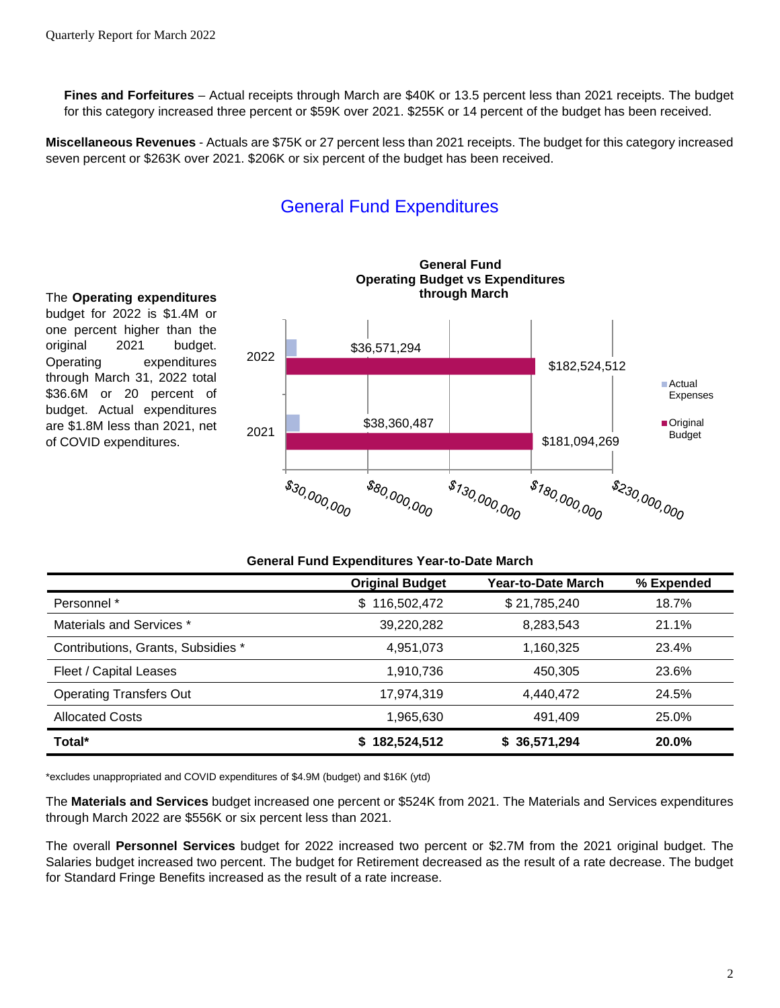**Fines and Forfeitures** – Actual receipts through March are \$40K or 13.5 percent less than 2021 receipts. The budget for this category increased three percent or \$59K over 2021. \$255K or 14 percent of the budget has been received.

**Miscellaneous Revenues** - Actuals are \$75K or 27 percent less than 2021 receipts. The budget for this category increased seven percent or \$263K over 2021. \$206K or six percent of the budget has been received.

# General Fund Expenditures



The **Operating expenditures**  budget for 2022 is \$1.4M or one percent higher than the original 2021 budget. Operating expenditures through March 31, 2022 total \$36.6M or 20 percent of budget. Actual expenditures are \$1.8M less than 2021, net of COVID expenditures.

| General Fund Expenditures Year-to-Date March |                        |                    |            |  |  |
|----------------------------------------------|------------------------|--------------------|------------|--|--|
|                                              | <b>Original Budget</b> | Year-to-Date March | % Expended |  |  |
| Personnel *                                  | \$116,502,472          | \$21,785,240       | 18.7%      |  |  |
| Materials and Services *                     | 39,220,282             | 8,283,543          | 21.1%      |  |  |
| Contributions, Grants, Subsidies *           | 4,951,073              | 1,160,325          | 23.4%      |  |  |
| Fleet / Capital Leases                       | 1,910,736              | 450,305            | 23.6%      |  |  |
| <b>Operating Transfers Out</b>               | 17,974,319             | 4,440,472          | 24.5%      |  |  |
| <b>Allocated Costs</b>                       | 1,965,630              | 491.409            | 25.0%      |  |  |
| Total*                                       | 182,524,512            | \$36,571,294       | 20.0%      |  |  |

\*excludes unappropriated and COVID expenditures of \$4.9M (budget) and \$16K (ytd)

The **Materials and Services** budget increased one percent or \$524K from 2021. The Materials and Services expenditures through March 2022 are \$556K or six percent less than 2021.

The overall **Personnel Services** budget for 2022 increased two percent or \$2.7M from the 2021 original budget. The Salaries budget increased two percent. The budget for Retirement decreased as the result of a rate decrease. The budget for Standard Fringe Benefits increased as the result of a rate increase.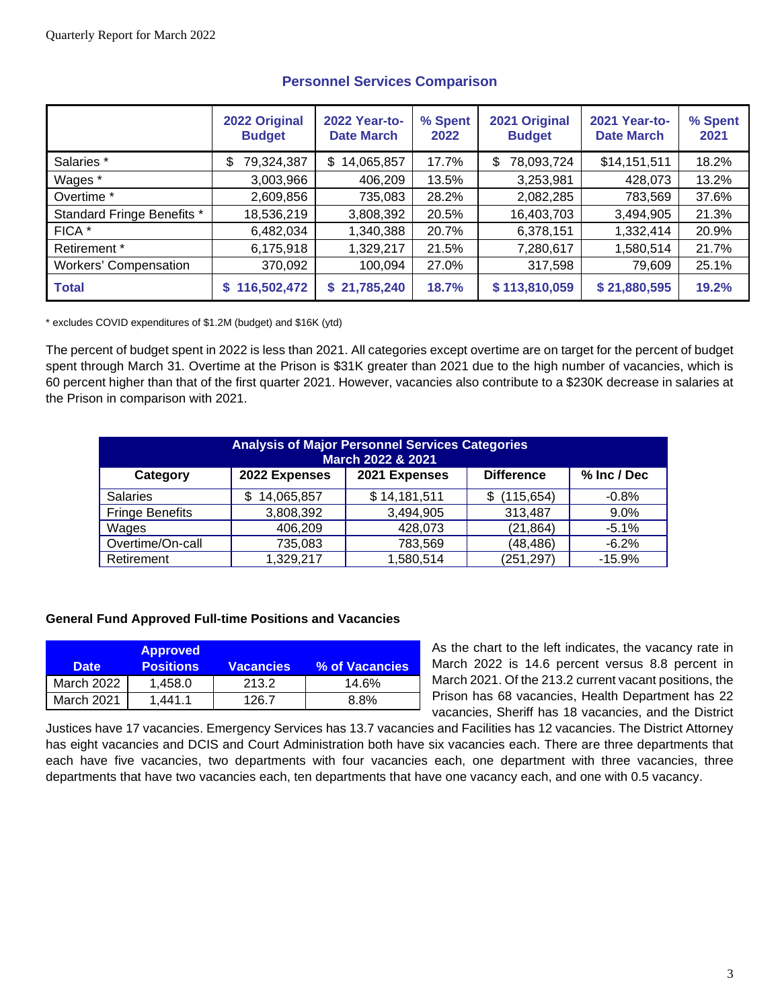|                              | 2022 Original<br><b>Budget</b> | 2022 Year-to-<br><b>Date March</b> | % Spent<br>2022 | 2021 Original<br><b>Budget</b> | 2021 Year-to-<br><b>Date March</b> | % Spent<br>2021 |
|------------------------------|--------------------------------|------------------------------------|-----------------|--------------------------------|------------------------------------|-----------------|
| Salaries *                   | 79,324,387<br>\$               | 14,065,857<br>\$.                  | 17.7%           | 78,093,724<br>\$.              | \$14,151,511                       | 18.2%           |
| Wages *                      | 3,003,966                      | 406,209                            | 13.5%           | 3,253,981                      | 428,073                            | 13.2%           |
| Overtime *                   | 2,609,856                      | 735,083                            | 28.2%           | 2,082,285                      | 783,569                            | 37.6%           |
| Standard Fringe Benefits *   | 18,536,219                     | 3,808,392                          | 20.5%           | 16,403,703                     | 3,494,905                          | 21.3%           |
| FICA *                       | 6,482,034                      | 1,340,388                          | 20.7%           | 6,378,151                      | 1,332,414                          | 20.9%           |
| Retirement *                 | 6,175,918                      | 1,329,217                          | 21.5%           | 7,280,617                      | 1,580,514                          | 21.7%           |
| <b>Workers' Compensation</b> | 370,092                        | 100,094                            | 27.0%           | 317,598                        | 79,609                             | 25.1%           |
| <b>Total</b>                 | 116,502,472                    | \$21,785,240                       | 18.7%           | \$113,810,059                  | \$21,880,595                       | 19.2%           |

## **Personnel Services Comparison**

\* excludes COVID expenditures of \$1.2M (budget) and \$16K (ytd)

The percent of budget spent in 2022 is less than 2021. All categories except overtime are on target for the percent of budget spent through March 31. Overtime at the Prison is \$31K greater than 2021 due to the high number of vacancies, which is 60 percent higher than that of the first quarter 2021. However, vacancies also contribute to a \$230K decrease in salaries at the Prison in comparison with 2021.

| <b>Analysis of Major Personnel Services Categories</b><br>March 2022 & 2021 |                 |               |                   |             |  |
|-----------------------------------------------------------------------------|-----------------|---------------|-------------------|-------------|--|
| Category                                                                    | 2022 Expenses   | 2021 Expenses | <b>Difference</b> | % Inc / Dec |  |
| <b>Salaries</b>                                                             | 14,065,857<br>S | \$14,181,511  | (115, 654)        | $-0.8%$     |  |
| <b>Fringe Benefits</b>                                                      | 3,808,392       | 3,494,905     | 313,487           | $9.0\%$     |  |
| Wages                                                                       | 406,209         | 428,073       | (21, 864)         | $-5.1%$     |  |
| Overtime/On-call                                                            | 735,083         | 783,569       | (48, 486)         | $-6.2%$     |  |
| Retirement                                                                  | 1,329,217       | 1,580,514     | (251, 297)        | $-15.9%$    |  |

## **General Fund Approved Full-time Positions and Vacancies**

| <b>Date</b> | <b>Approved</b><br><b>Positions</b> | Vacancies | % of Vacancies |
|-------------|-------------------------------------|-----------|----------------|
| March 2022  | 1.458.0                             | 213.2     | 14.6%          |
| March 2021  | 1.441.1                             | 126.7     | $8.8\%$        |

As the chart to the left indicates, the vacancy rate in March 2022 is 14.6 percent versus 8.8 percent in March 2021. Of the 213.2 current vacant positions, the Prison has 68 vacancies, Health Department has 22 vacancies, Sheriff has 18 vacancies, and the District

Justices have 17 vacancies. Emergency Services has 13.7 vacancies and Facilities has 12 vacancies. The District Attorney has eight vacancies and DCIS and Court Administration both have six vacancies each. There are three departments that each have five vacancies, two departments with four vacancies each, one department with three vacancies, three departments that have two vacancies each, ten departments that have one vacancy each, and one with 0.5 vacancy.